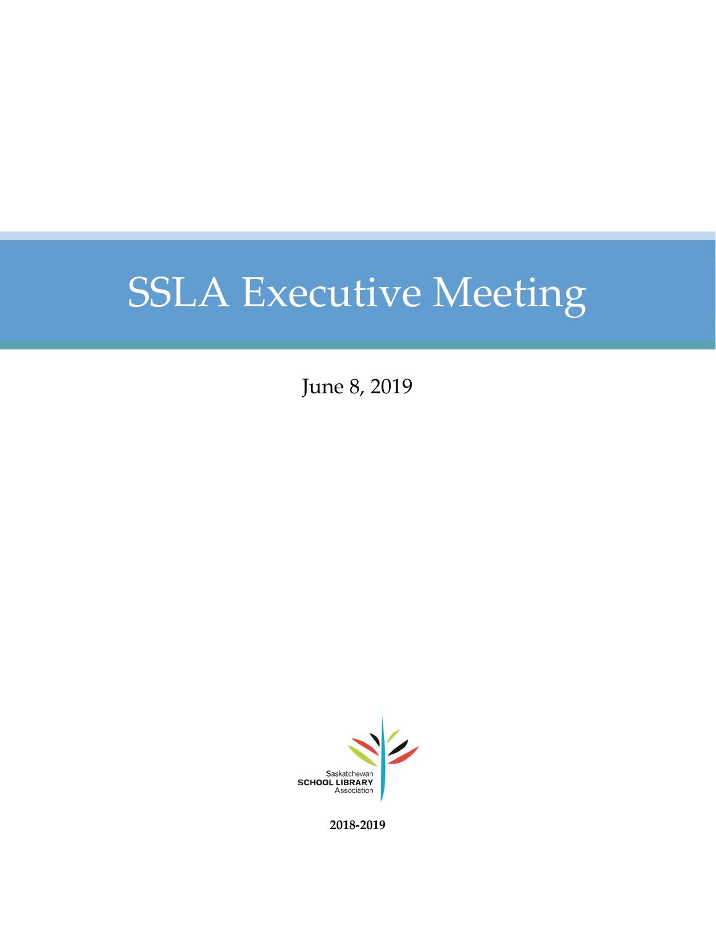June 8, 2019



**2018-2019**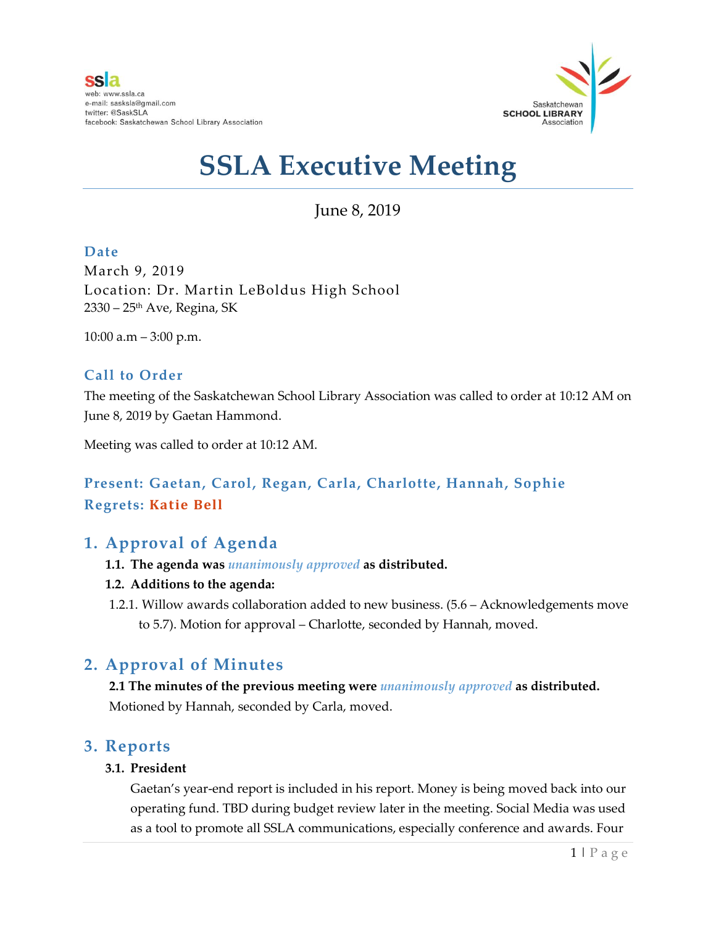

June 8, 2019

#### **Date**

March 9, 2019 Location: Dr. Martin LeBoldus High School 2330 – 25th Ave, Regina, SK

10:00 a.m – 3:00 p.m.

#### **Call to Order**

The meeting of the Saskatchewan School Library Association was called to order at 10:12 AM on June 8, 2019 by Gaetan Hammond.

Meeting was called to order at 10:12 AM.

### **Present: Gaetan, Carol, Regan, Carla, Charlotte, Hannah, Sophie Regrets: Katie Bell**

### **1. Approval of Agenda**

- **1.1. The agenda was** *unanimously approved* **as distributed.**
- **1.2. Additions to the agenda:**
- 1.2.1. Willow awards collaboration added to new business. (5.6 Acknowledgements move to 5.7). Motion for approval – Charlotte, seconded by Hannah, moved.

### **2. Approval of Minutes**

**2.1 The minutes of the previous meeting were** *unanimously approved* **as distributed.** Motioned by Hannah, seconded by Carla, moved.

#### **3. Reports**

#### **3.1. President**

Gaetan's year-end report is included in his report. Money is being moved back into our operating fund. TBD during budget review later in the meeting. Social Media was used as a tool to promote all SSLA communications, especially conference and awards. Four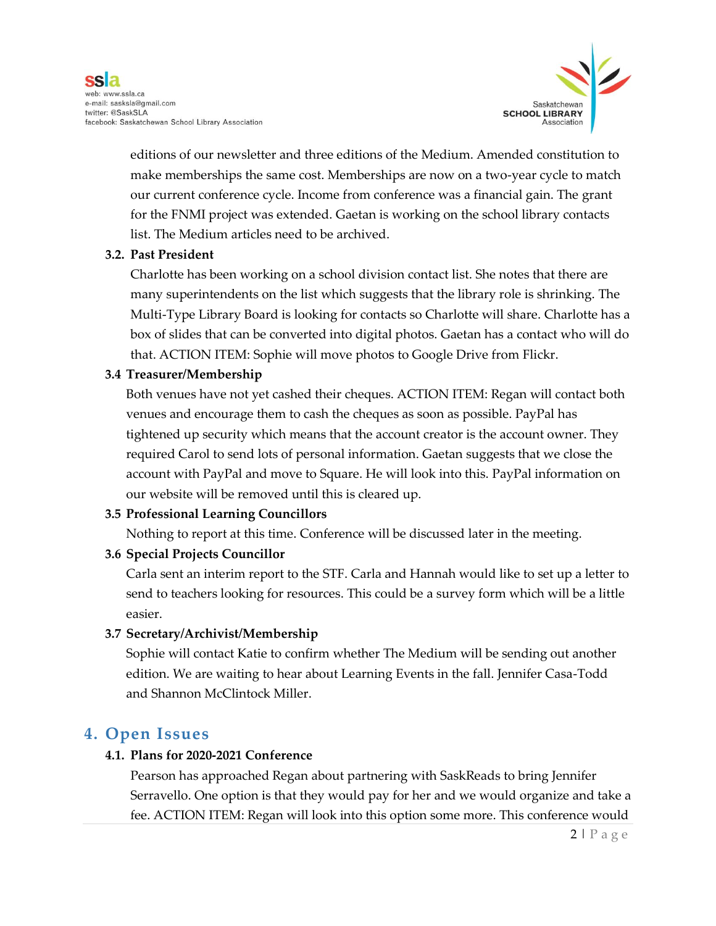

editions of our newsletter and three editions of the Medium. Amended constitution to make memberships the same cost. Memberships are now on a two-year cycle to match our current conference cycle. Income from conference was a financial gain. The grant for the FNMI project was extended. Gaetan is working on the school library contacts list. The Medium articles need to be archived.

#### **3.2. Past President**

Charlotte has been working on a school division contact list. She notes that there are many superintendents on the list which suggests that the library role is shrinking. The Multi-Type Library Board is looking for contacts so Charlotte will share. Charlotte has a box of slides that can be converted into digital photos. Gaetan has a contact who will do that. ACTION ITEM: Sophie will move photos to Google Drive from Flickr.

#### **3.4 Treasurer/Membership**

Both venues have not yet cashed their cheques. ACTION ITEM: Regan will contact both venues and encourage them to cash the cheques as soon as possible. PayPal has tightened up security which means that the account creator is the account owner. They required Carol to send lots of personal information. Gaetan suggests that we close the account with PayPal and move to Square. He will look into this. PayPal information on our website will be removed until this is cleared up.

#### **3.5 Professional Learning Councillors**

Nothing to report at this time. Conference will be discussed later in the meeting.

#### **3.6 Special Projects Councillor**

Carla sent an interim report to the STF. Carla and Hannah would like to set up a letter to send to teachers looking for resources. This could be a survey form which will be a little easier.

#### **3.7 Secretary/Archivist/Membership**

Sophie will contact Katie to confirm whether The Medium will be sending out another edition. We are waiting to hear about Learning Events in the fall. Jennifer Casa-Todd and Shannon McClintock Miller.

### **4. Open Issues**

#### **4.1. Plans for 2020-2021 Conference**

Pearson has approached Regan about partnering with SaskReads to bring Jennifer Serravello. One option is that they would pay for her and we would organize and take a fee. ACTION ITEM: Regan will look into this option some more. This conference would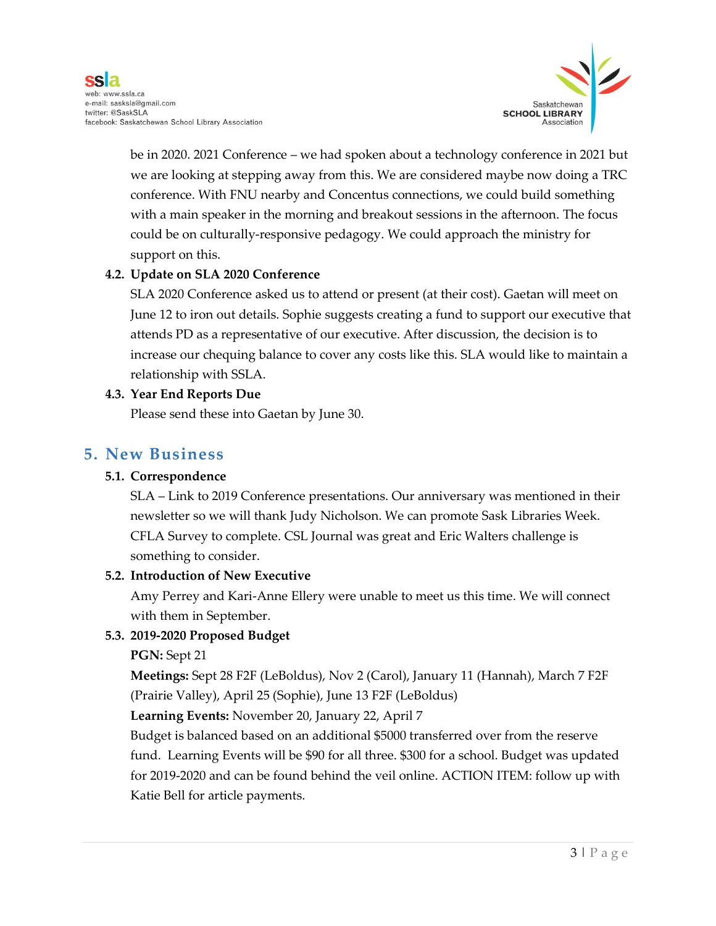

be in 2020. 2021 Conference – we had spoken about a technology conference in 2021 but we are looking at stepping away from this. We are considered maybe now doing a TRC conference. With FNU nearby and Concentus connections, we could build something with a main speaker in the morning and breakout sessions in the afternoon. The focus could be on culturally-responsive pedagogy. We could approach the ministry for support on this.

#### **4.2. Update on SLA 2020 Conference**

SLA 2020 Conference asked us to attend or present (at their cost). Gaetan will meet on June 12 to iron out details. Sophie suggests creating a fund to support our executive that attends PD as a representative of our executive. After discussion, the decision is to increase our chequing balance to cover any costs like this. SLA would like to maintain a relationship with SSLA.

#### **4.3. Year End Reports Due**

Please send these into Gaetan by June 30.

#### **5. New Business**

#### **5.1. Correspondence**

SLA – Link to 2019 Conference presentations. Our anniversary was mentioned in their newsletter so we will thank Judy Nicholson. We can promote Sask Libraries Week. CFLA Survey to complete. CSL Journal was great and Eric Walters challenge is something to consider.

#### **5.2. Introduction of New Executive**

Amy Perrey and Kari-Anne Ellery were unable to meet us this time. We will connect with them in September.

#### **5.3. 2019-2020 Proposed Budget**

#### **PGN:** Sept 21

**Meetings:** Sept 28 F2F (LeBoldus), Nov 2 (Carol), January 11 (Hannah), March 7 F2F (Prairie Valley), April 25 (Sophie), June 13 F2F (LeBoldus)

**Learning Events:** November 20, January 22, April 7

Budget is balanced based on an additional \$5000 transferred over from the reserve fund. Learning Events will be \$90 for all three. \$300 for a school. Budget was updated for 2019-2020 and can be found behind the veil online. ACTION ITEM: follow up with Katie Bell for article payments.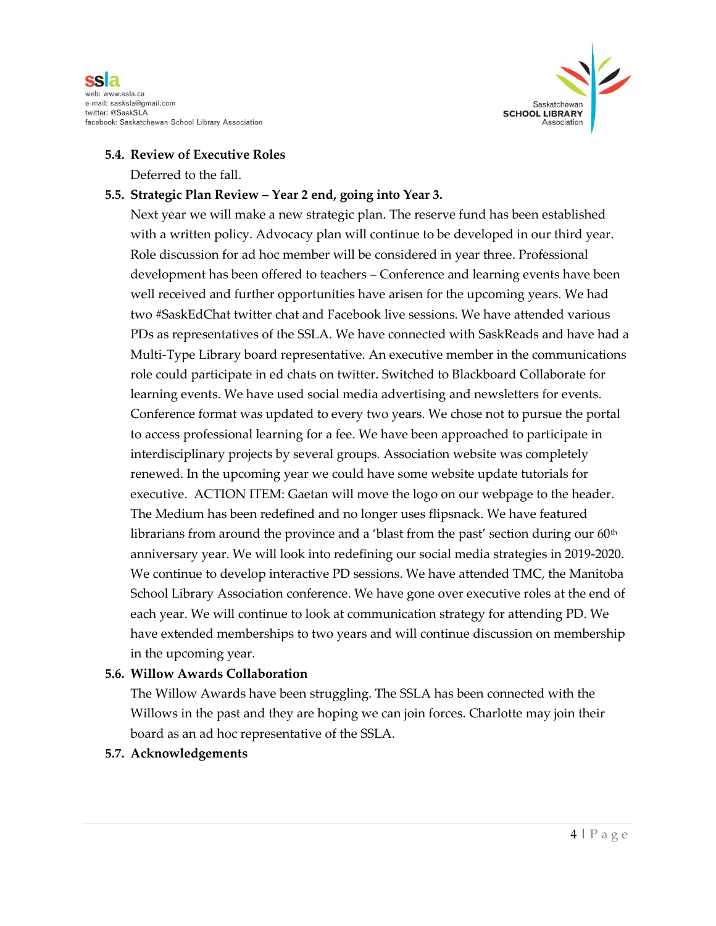



#### **5.4. Review of Executive Roles**

Deferred to the fall.

#### **5.5. Strategic Plan Review – Year 2 end, going into Year 3.**

Next year we will make a new strategic plan. The reserve fund has been established with a written policy. Advocacy plan will continue to be developed in our third year. Role discussion for ad hoc member will be considered in year three. Professional development has been offered to teachers – Conference and learning events have been well received and further opportunities have arisen for the upcoming years. We had two #SaskEdChat twitter chat and Facebook live sessions. We have attended various PDs as representatives of the SSLA. We have connected with SaskReads and have had a Multi-Type Library board representative. An executive member in the communications role could participate in ed chats on twitter. Switched to Blackboard Collaborate for learning events. We have used social media advertising and newsletters for events. Conference format was updated to every two years. We chose not to pursue the portal to access professional learning for a fee. We have been approached to participate in interdisciplinary projects by several groups. Association website was completely renewed. In the upcoming year we could have some website update tutorials for executive. ACTION ITEM: Gaetan will move the logo on our webpage to the header. The Medium has been redefined and no longer uses flipsnack. We have featured librarians from around the province and a 'blast from the past' section during our  $60<sup>th</sup>$ anniversary year. We will look into redefining our social media strategies in 2019-2020. We continue to develop interactive PD sessions. We have attended TMC, the Manitoba School Library Association conference. We have gone over executive roles at the end of each year. We will continue to look at communication strategy for attending PD. We have extended memberships to two years and will continue discussion on membership in the upcoming year.

#### **5.6. Willow Awards Collaboration**

The Willow Awards have been struggling. The SSLA has been connected with the Willows in the past and they are hoping we can join forces. Charlotte may join their board as an ad hoc representative of the SSLA.

#### **5.7. Acknowledgements**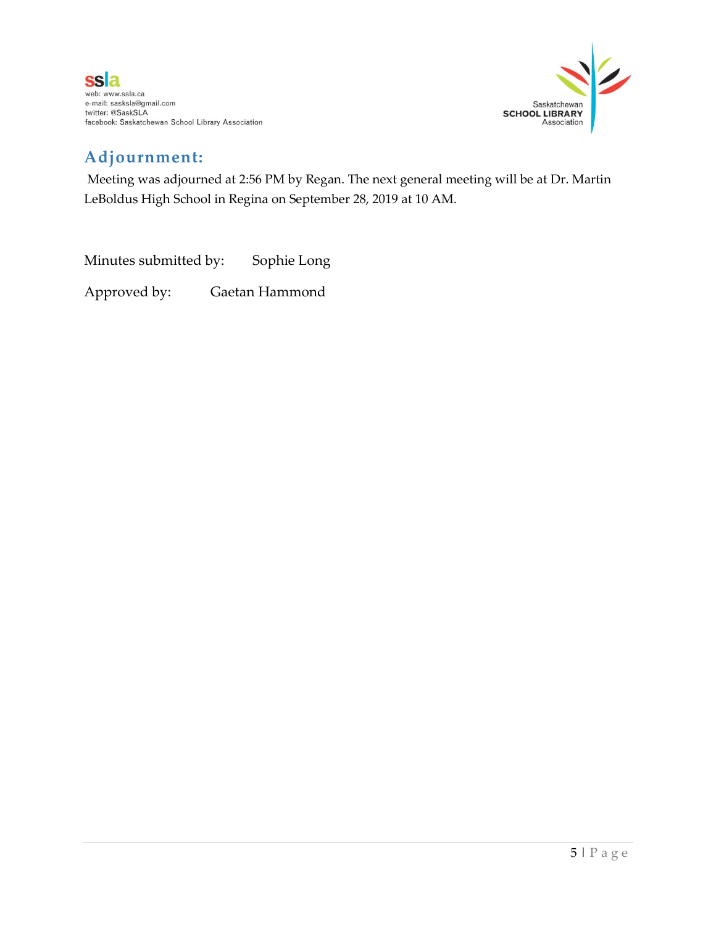

## **Adjournment:**

Meeting was adjourned at 2:56 PM by Regan. The next general meeting will be at Dr. Martin LeBoldus High School in Regina on September 28, 2019 at 10 AM.

Minutes submitted by: Sophie Long Approved by: Gaetan Hammond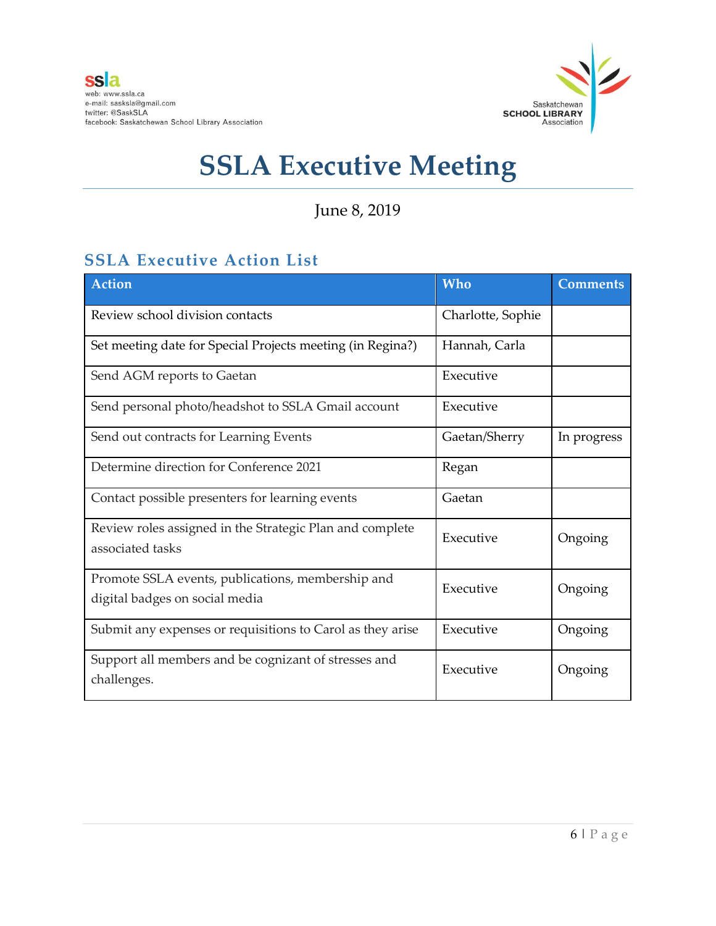

June 8, 2019

## **SSLA Executive Action List**

| Action                                                                              | <b>Who</b>        | <b>Comments</b> |
|-------------------------------------------------------------------------------------|-------------------|-----------------|
| Review school division contacts                                                     | Charlotte, Sophie |                 |
| Set meeting date for Special Projects meeting (in Regina?)                          | Hannah, Carla     |                 |
| Send AGM reports to Gaetan                                                          | Executive         |                 |
| Send personal photo/headshot to SSLA Gmail account                                  | Executive         |                 |
| Send out contracts for Learning Events                                              | Gaetan/Sherry     | In progress     |
| Determine direction for Conference 2021                                             | Regan             |                 |
| Contact possible presenters for learning events                                     | Gaetan            |                 |
| Review roles assigned in the Strategic Plan and complete<br>associated tasks        | Executive         | Ongoing         |
| Promote SSLA events, publications, membership and<br>digital badges on social media | Executive         | Ongoing         |
| Submit any expenses or requisitions to Carol as they arise                          | Executive         | Ongoing         |
| Support all members and be cognizant of stresses and<br>challenges.                 | Executive         | Ongoing         |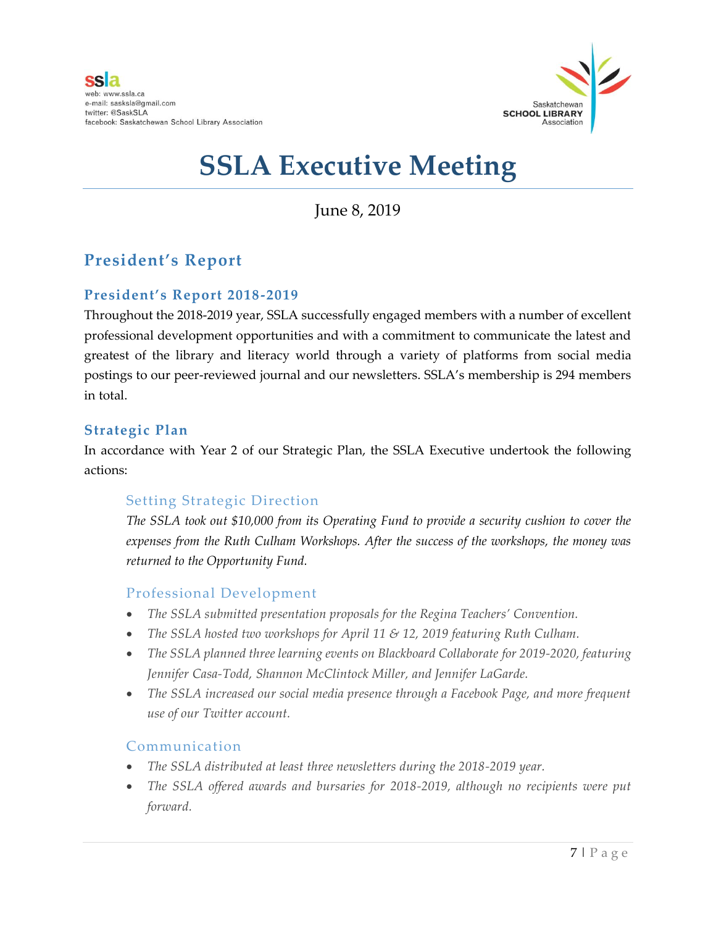

June 8, 2019

## **President's Report**

#### **President's Report 2018-2019**

Throughout the 2018-2019 year, SSLA successfully engaged members with a number of excellent professional development opportunities and with a commitment to communicate the latest and greatest of the library and literacy world through a variety of platforms from social media postings to our peer-reviewed journal and our newsletters. SSLA's membership is 294 members in total.

#### **Strategic Plan**

In accordance with Year 2 of our Strategic Plan, the SSLA Executive undertook the following actions:

#### Setting Strategic Direction

*The SSLA took out \$10,000 from its Operating Fund to provide a security cushion to cover the expenses from the Ruth Culham Workshops. After the success of the workshops, the money was returned to the Opportunity Fund.* 

#### Professional Development

- *The SSLA submitted presentation proposals for the Regina Teachers' Convention.*
- *The SSLA hosted two workshops for April 11 & 12, 2019 featuring Ruth Culham.*
- *The SSLA planned three learning events on Blackboard Collaborate for 2019-2020, featuring Jennifer Casa-Todd, Shannon McClintock Miller, and Jennifer LaGarde.*
- *The SSLA increased our social media presence through a Facebook Page, and more frequent use of our Twitter account.*

#### Communication

- *The SSLA distributed at least three newsletters during the 2018-2019 year.*
- *The SSLA offered awards and bursaries for 2018-2019, although no recipients were put forward.*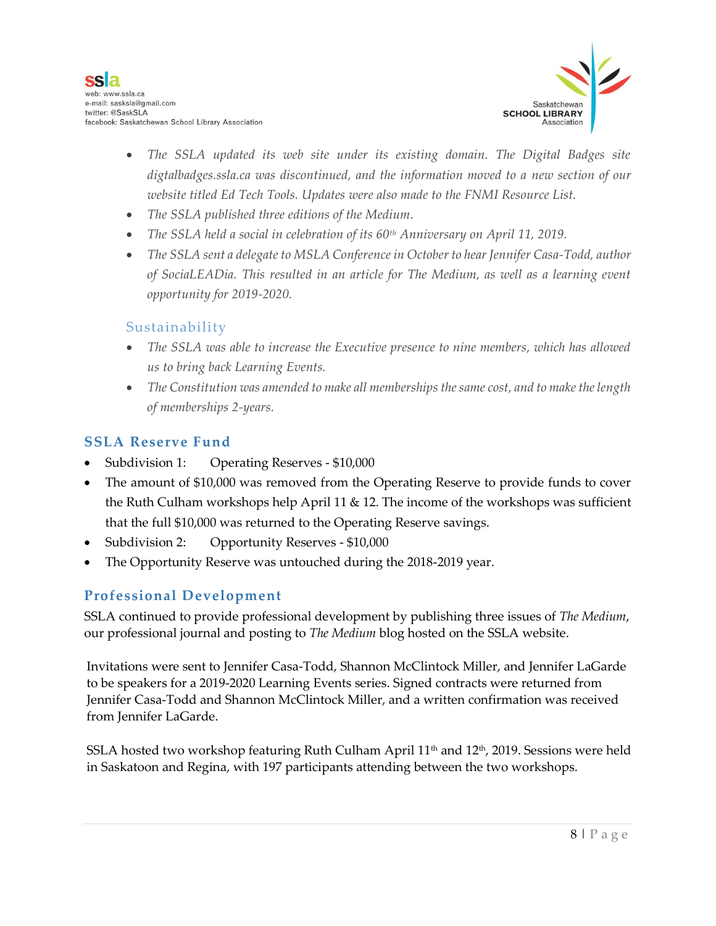

- The SSLA updated its web site under its existing domain. The Digital Badges site *digtalbadges.ssla.ca was discontinued, and the information moved to a new section of our website titled Ed Tech Tools. Updates were also made to the FNMI Resource List.*
- *The SSLA published three editions of the Medium.*
- *The SSLA held a social in celebration of its 60th Anniversary on April 11, 2019.*
- *The SSLA sent a delegate to MSLA Conference in October to hear Jennifer Casa-Todd, author of SociaLEADia. This resulted in an article for The Medium, as well as a learning event opportunity for 2019-2020.*

#### Sustainability

- *The SSLA was able to increase the Executive presence to nine members, which has allowed us to bring back Learning Events.*
- *The Constitution was amended to make all memberships the same cost, and to make the length of memberships 2-years.*

#### **SSLA Reserve Fund**

- Subdivision 1: Operating Reserves \$10,000
- The amount of \$10,000 was removed from the Operating Reserve to provide funds to cover the Ruth Culham workshops help April 11 & 12. The income of the workshops was sufficient that the full \$10,000 was returned to the Operating Reserve savings.
- Subdivision 2: Opportunity Reserves \$10,000
- The Opportunity Reserve was untouched during the 2018-2019 year.

#### **Professional Development**

SSLA continued to provide professional development by publishing three issues of *The Medium*, our professional journal and posting to *The Medium* blog hosted on the SSLA website.

Invitations were sent to Jennifer Casa-Todd, Shannon McClintock Miller, and Jennifer LaGarde to be speakers for a 2019-2020 Learning Events series. Signed contracts were returned from Jennifer Casa-Todd and Shannon McClintock Miller, and a written confirmation was received from Jennifer LaGarde.

SSLA hosted two workshop featuring Ruth Culham April  $11<sup>th</sup>$  and  $12<sup>th</sup>$ , 2019. Sessions were held in Saskatoon and Regina, with 197 participants attending between the two workshops.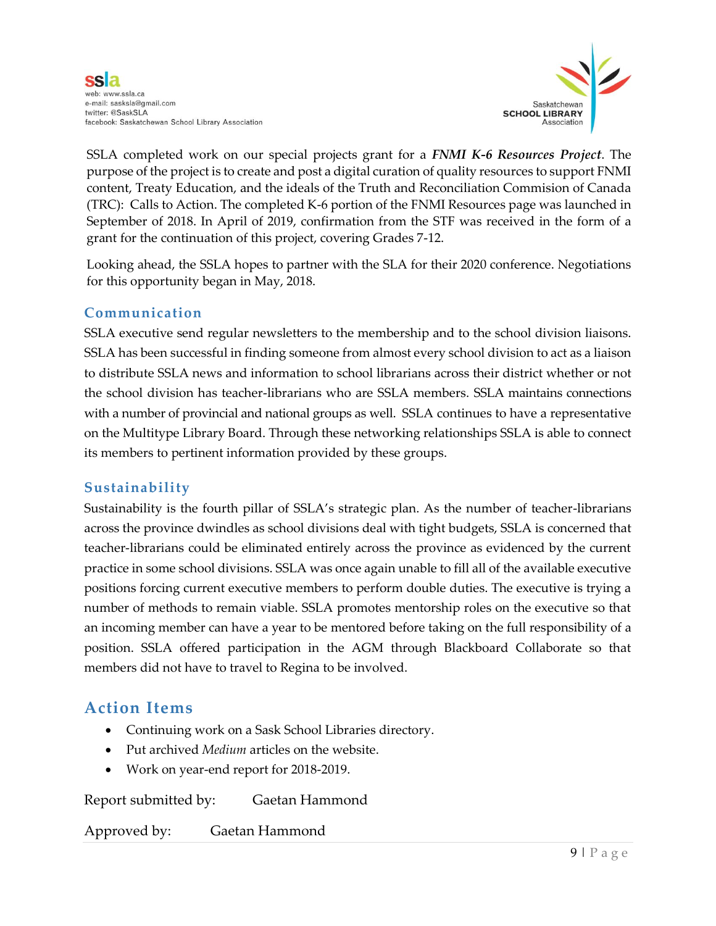

SSLA completed work on our special projects grant for a *FNMI K-6 Resources Project*. The purpose of the project is to create and post a digital curation of quality resources to support FNMI content, Treaty Education, and the ideals of the Truth and Reconciliation Commision of Canada (TRC): Calls to Action. The completed K-6 portion of the FNMI Resources page was launched in September of 2018. In April of 2019, confirmation from the STF was received in the form of a grant for the continuation of this project, covering Grades 7-12.

Looking ahead, the SSLA hopes to partner with the SLA for their 2020 conference. Negotiations for this opportunity began in May, 2018.

#### **Communication**

SSLA executive send regular newsletters to the membership and to the school division liaisons. SSLA has been successful in finding someone from almost every school division to act as a liaison to distribute SSLA news and information to school librarians across their district whether or not the school division has teacher-librarians who are SSLA members. SSLA maintains connections with a number of provincial and national groups as well. SSLA continues to have a representative on the Multitype Library Board. Through these networking relationships SSLA is able to connect its members to pertinent information provided by these groups.

#### **Sustainability**

Sustainability is the fourth pillar of SSLA's strategic plan. As the number of teacher-librarians across the province dwindles as school divisions deal with tight budgets, SSLA is concerned that teacher-librarians could be eliminated entirely across the province as evidenced by the current practice in some school divisions. SSLA was once again unable to fill all of the available executive positions forcing current executive members to perform double duties. The executive is trying a number of methods to remain viable. SSLA promotes mentorship roles on the executive so that an incoming member can have a year to be mentored before taking on the full responsibility of a position. SSLA offered participation in the AGM through Blackboard Collaborate so that members did not have to travel to Regina to be involved.

## **Action Items**

- Continuing work on a Sask School Libraries directory.
- Put archived *Medium* articles on the website.
- Work on year-end report for 2018-2019.

Report submitted by: Gaetan Hammond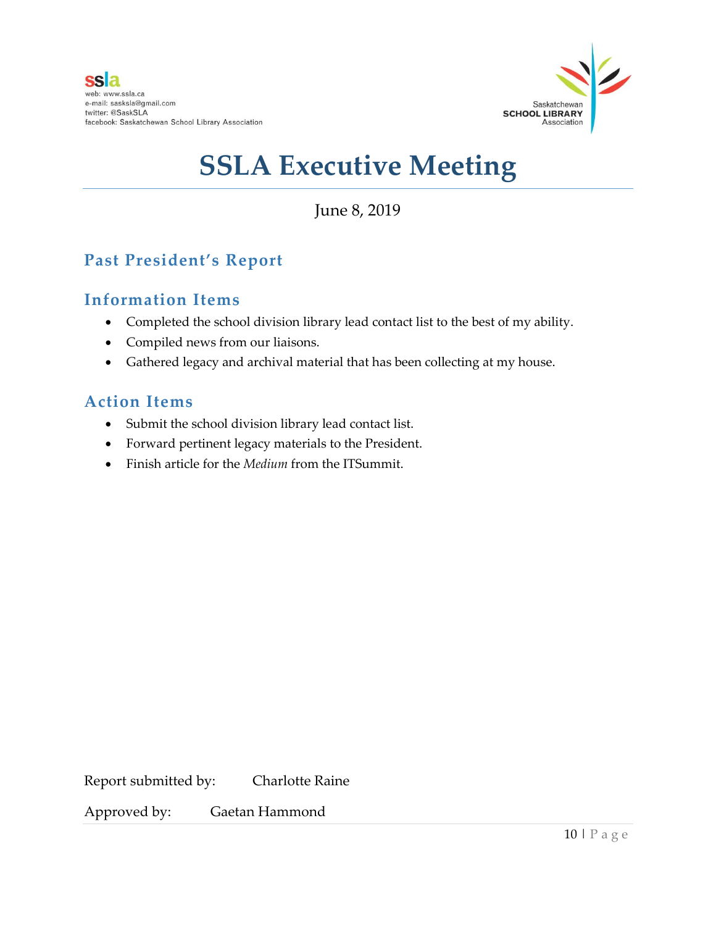

June 8, 2019

## **Past President's Report**

## **Information Items**

- Completed the school division library lead contact list to the best of my ability.
- Compiled news from our liaisons.
- Gathered legacy and archival material that has been collecting at my house.

### **Action Items**

- Submit the school division library lead contact list.
- Forward pertinent legacy materials to the President.
- Finish article for the *Medium* from the ITSummit.

Report submitted by: Charlotte Raine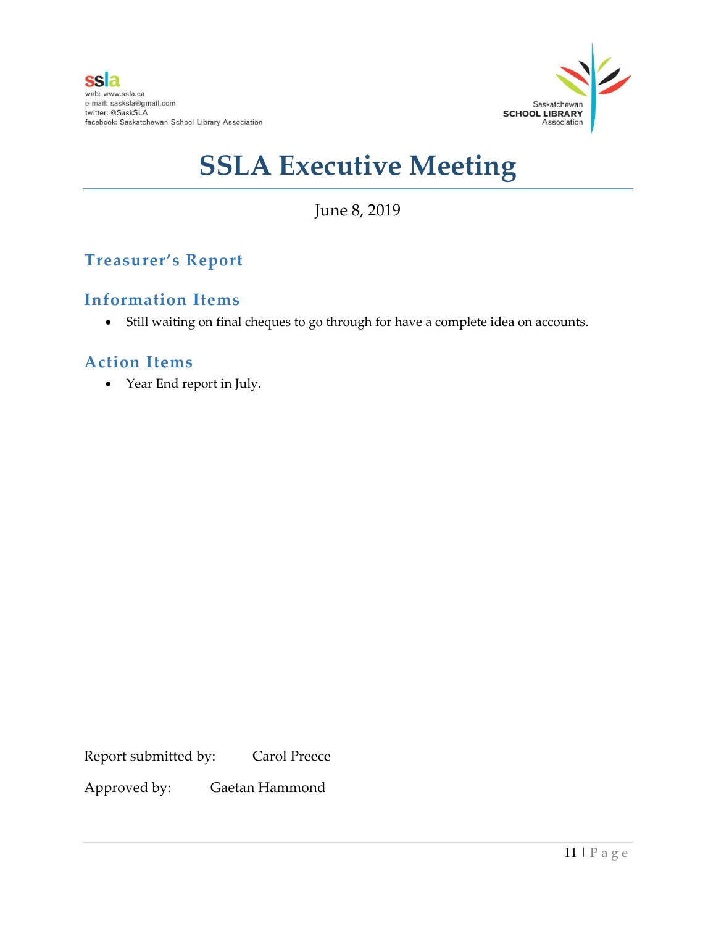

June 8, 2019

## **Treasurer's Report**

## **Information Items**

Still waiting on final cheques to go through for have a complete idea on accounts.

## **Action Items**

Year End report in July.

Report submitted by: Carol Preece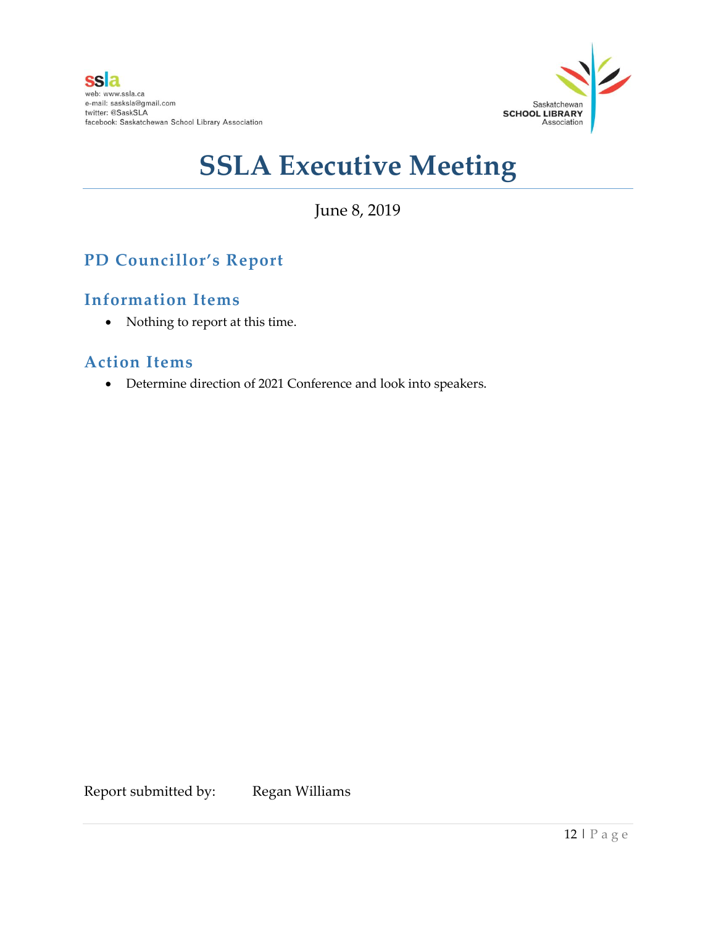

June 8, 2019

## **PD Councillor's Report**

## **Information Items**

• Nothing to report at this time.

## **Action Items**

Determine direction of 2021 Conference and look into speakers.

Report submitted by: Regan Williams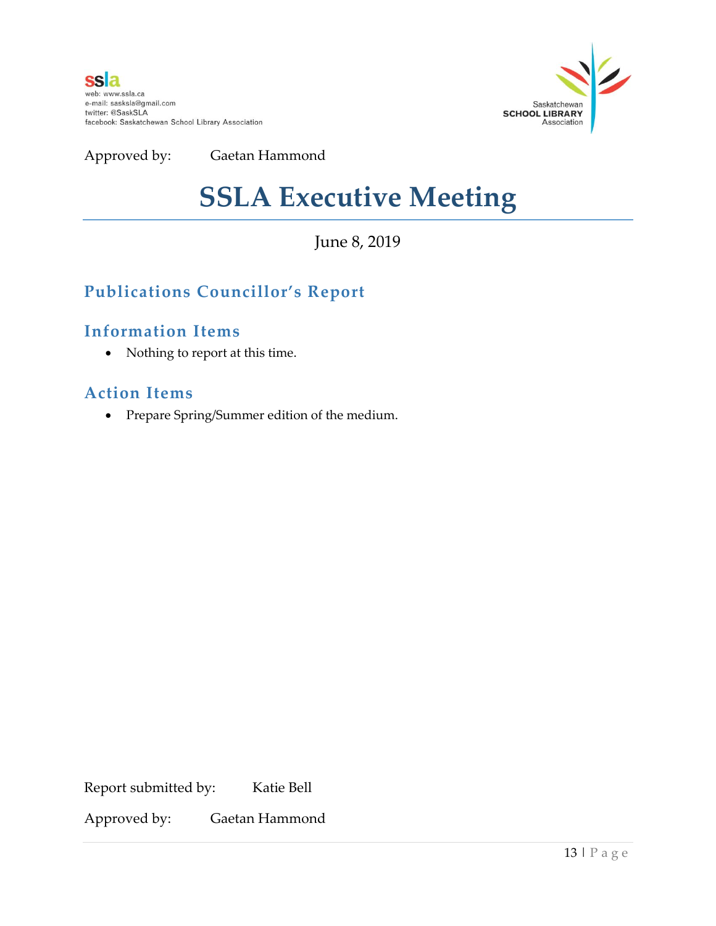

Approved by: Gaetan Hammond

## **SSLA Executive Meeting**

June 8, 2019

## **Publications Councillor's Report**

### **Information Items**

• Nothing to report at this time.

### **Action Items**

Prepare Spring/Summer edition of the medium.

Report submitted by: Katie Bell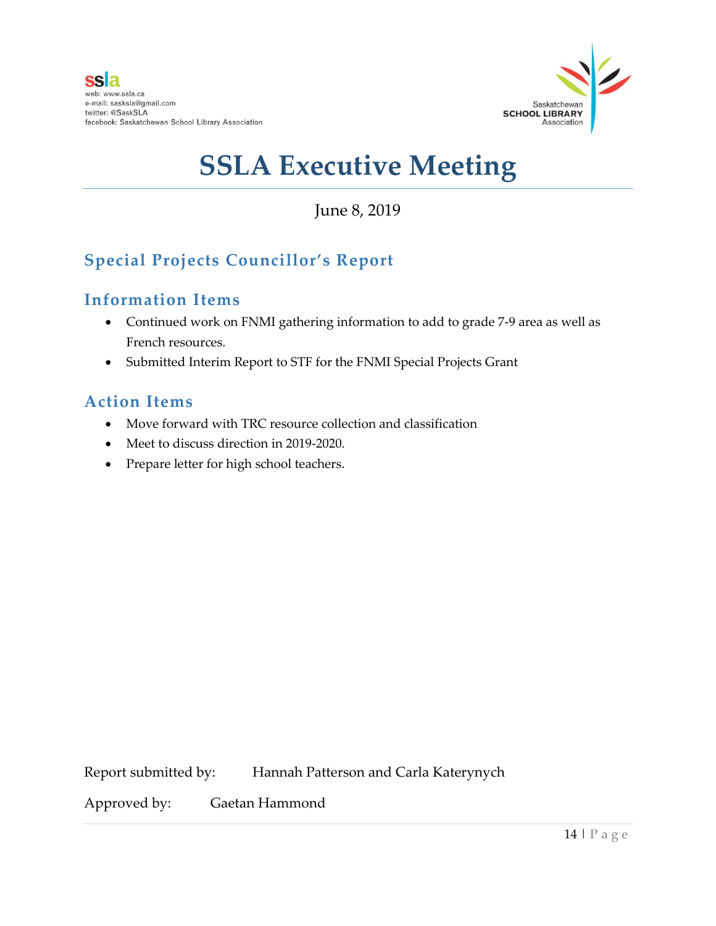

June 8, 2019

## **Special Projects Councillor's Report**

## **Information Items**

- Continued work on FNMI gathering information to add to grade 7-9 area as well as French resources.
- Submitted Interim Report to STF for the FNMI Special Projects Grant

## **Action Items**

- Move forward with TRC resource collection and classification
- Meet to discuss direction in 2019-2020.
- Prepare letter for high school teachers.

Report submitted by: Hannah Patterson and Carla Katerynych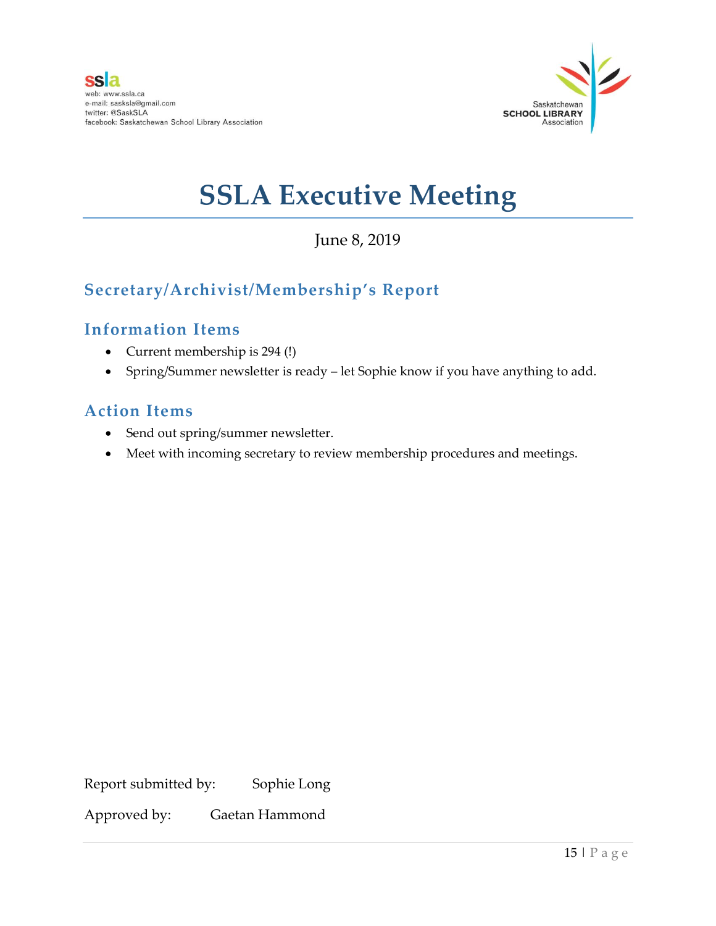

June 8, 2019

## **Secretary/Archivist/Membership's Report**

## **Information Items**

- Current membership is 294 (!)
- Spring/Summer newsletter is ready let Sophie know if you have anything to add.

## **Action Items**

- Send out spring/summer newsletter.
- Meet with incoming secretary to review membership procedures and meetings.

Report submitted by: Sophie Long